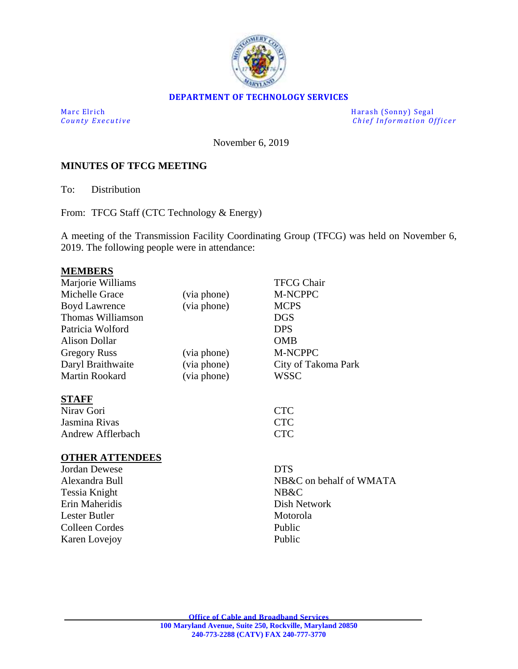

#### **DEPARTMENT OF TECHNOLOGY SERVICES**

Marc Elrich Harash (Sonny) Segal *County Executive* **County Executive Chief Information Officer** 

November 6, 2019

#### **MINUTES OF TFCG MEETING**

To: Distribution

From: TFCG Staff (CTC Technology & Energy)

A meeting of the Transmission Facility Coordinating Group (TFCG) was held on November 6, 2019. The following people were in attendance:

# **MEMBERS**

| Marjorie Williams      |             | <b>TFCG Chair</b>       |
|------------------------|-------------|-------------------------|
| Michelle Grace         | (via phone) | M-NCPPC                 |
| <b>Boyd Lawrence</b>   | (via phone) | <b>MCPS</b>             |
| Thomas Williamson      |             | <b>DGS</b>              |
| Patricia Wolford       |             | <b>DPS</b>              |
| <b>Alison Dollar</b>   |             | <b>OMB</b>              |
| <b>Gregory Russ</b>    | (via phone) | M-NCPPC                 |
| Daryl Braithwaite      | (via phone) | City of Takoma Park     |
| Martin Rookard         | (via phone) | <b>WSSC</b>             |
| <b>STAFF</b>           |             |                         |
| Nirav Gori             |             | <b>CTC</b>              |
| Jasmina Rivas          |             | <b>CTC</b>              |
| Andrew Afflerbach      |             | <b>CTC</b>              |
| <b>OTHER ATTENDEES</b> |             |                         |
| Jordan Dewese          |             | <b>DTS</b>              |
| Alexandra Bull         |             | NB&C on behalf of WMATA |
| Tessia Knight          |             | NB&C                    |
| Erin Maheridis         |             | Dish Network            |
| Lester Butler          |             | Motorola                |
| Colleen Cordes         |             | Public                  |
| Karen Lovejoy          |             | Public                  |
|                        |             |                         |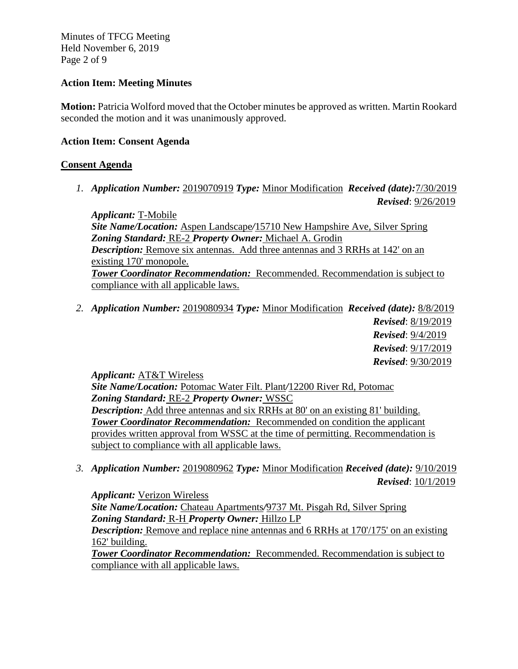Minutes of TFCG Meeting Held November 6, 2019 Page 2 of 9

### **Action Item: Meeting Minutes**

**Motion:** Patricia Wolford moved that the October minutes be approved as written. Martin Rookard seconded the motion and it was unanimously approved.

#### **Action Item: Consent Agenda**

#### **Consent Agenda**

*1. Application Number:* 2019070919 *Type:* Minor Modification *Received (date):*7/30/2019 *Revised*: 9/26/2019

*Applicant:* T-Mobile *Site Name/Location:* Aspen Landscape*/*15710 New Hampshire Ave, Silver Spring *Zoning Standard:* RE-2 *Property Owner:* Michael A. Grodin *Description:* Remove six antennas. Add three antennas and 3 RRHs at 142' on an existing 170' monopole. *Tower Coordinator Recommendation:* Recommended. Recommendation is subject to compliance with all applicable laws.

*2. Application Number:* 2019080934 *Type:* Minor Modification *Received (date):* 8/8/2019 *Revised*: 8/19/2019 *Revised*: 9/4/2019 *Revised*: 9/17/2019 *Revised*: 9/30/2019

*Applicant:* AT&T Wireless

*Site Name/Location:* Potomac Water Filt. Plant*/*12200 River Rd, Potomac *Zoning Standard:* RE-2 *Property Owner:* WSSC *Description:* Add three antennas and six RRHs at 80' on an existing 81' building. *Tower Coordinator Recommendation:* Recommended on condition the applicant provides written approval from WSSC at the time of permitting. Recommendation is subject to compliance with all applicable laws.

*3. Application Number:* 2019080962 *Type:* Minor Modification *Received (date):* 9/10/2019 *Revised*: 10/1/2019

*Applicant:* Verizon Wireless *Site Name/Location:* Chateau Apartments*/*9737 Mt. Pisgah Rd, Silver Spring *Zoning Standard:* R-H *Property Owner:* Hillzo LP *Description:* Remove and replace nine antennas and 6 RRHs at 170/175' on an existing 162' building. *Tower Coordinator Recommendation:* Recommended. Recommendation is subject to

compliance with all applicable laws.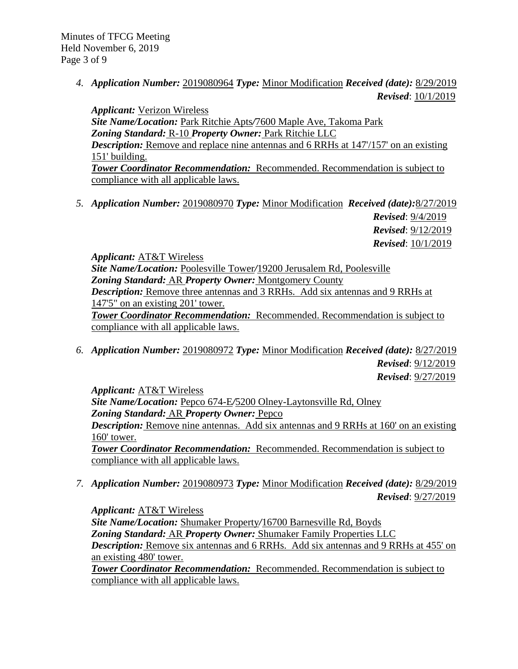*4. Application Number:* 2019080964 *Type:* Minor Modification *Received (date):* 8/29/2019 *Revised*: 10/1/2019

*Applicant:* Verizon Wireless *Site Name/Location:* Park Ritchie Apts*/*7600 Maple Ave, Takoma Park *Zoning Standard:* R-10 *Property Owner:* Park Ritchie LLC *Description:* Remove and replace nine antennas and 6 RRHs at 147/157' on an existing 151' building. *Tower Coordinator Recommendation:* Recommended. Recommendation is subject to compliance with all applicable laws.

*5. Application Number:* 2019080970 *Type:* Minor Modification *Received (date):*8/27/2019 *Revised*: 9/4/2019

*Revised*: 9/12/2019 *Revised*: 10/1/2019

*Applicant:* AT&T Wireless

*Site Name/Location:* Poolesville Tower*/*19200 Jerusalem Rd, Poolesville *Zoning Standard:* AR *Property Owner:* Montgomery County *Description:* Remove three antennas and 3 RRHs. Add six antennas and 9 RRHs at 147'5" on an existing 201' tower.

*Tower Coordinator Recommendation:* Recommended. Recommendation is subject to compliance with all applicable laws.

*6. Application Number:* 2019080972 *Type:* Minor Modification *Received (date):* 8/27/2019 *Revised*: 9/12/2019 *Revised*: 9/27/2019

*Applicant:* AT&T Wireless *Site Name/Location:* Pepco 674-E*/*5200 Olney-Laytonsville Rd, Olney *Zoning Standard:* AR *Property Owner:* Pepco *Description:* Remove nine antennas. Add six antennas and 9 RRHs at 160' on an existing 160' tower. *Tower Coordinator Recommendation:* Recommended. Recommendation is subject to compliance with all applicable laws.

*7. Application Number:* 2019080973 *Type:* Minor Modification *Received (date):* 8/29/2019 *Revised*: 9/27/2019

*Applicant:* AT&T Wireless *Site Name/Location:* Shumaker Property*/*16700 Barnesville Rd, Boyds *Zoning Standard:* AR *Property Owner:* Shumaker Family Properties LLC *Description:* Remove six antennas and 6 RRHs. Add six antennas and 9 RRHs at 455' on an existing 480' tower.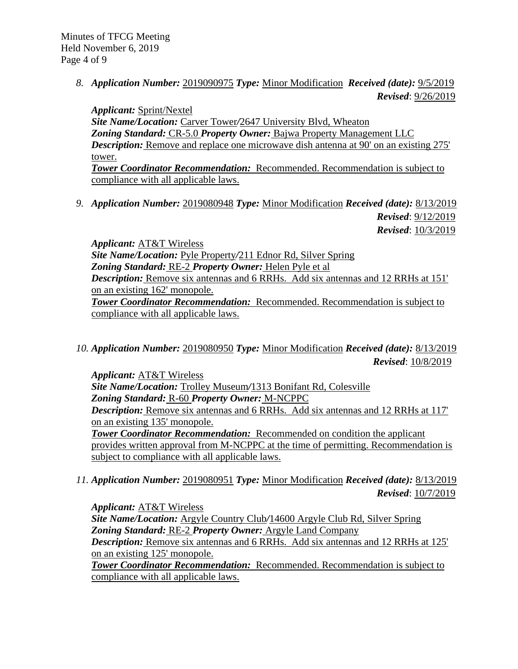*8. Application Number:* 2019090975 *Type:* Minor Modification *Received (date):* 9/5/2019 *Revised*: 9/26/2019

*Applicant:* Sprint/Nextel *Site Name/Location:* Carver Tower*/*2647 University Blvd, Wheaton *Zoning Standard:* CR-5.0 *Property Owner:* Bajwa Property Management LLC *Description:* Remove and replace one microwave dish antenna at 90' on an existing 275' tower. *Tower Coordinator Recommendation:* Recommended. Recommendation is subject to

compliance with all applicable laws.

*9. Application Number:* 2019080948 *Type:* Minor Modification *Received (date):* 8/13/2019 *Revised*: 9/12/2019

*Revised*: 10/3/2019

*Applicant:* AT&T Wireless *Site Name/Location:* Pyle Property*/*211 Ednor Rd, Silver Spring *Zoning Standard:* RE-2 *Property Owner:* Helen Pyle et al *Description:* Remove six antennas and 6 RRHs. Add six antennas and 12 RRHs at 151' on an existing 162' monopole. *Tower Coordinator Recommendation:* Recommended. Recommendation is subject to compliance with all applicable laws.

*10. Application Number:* 2019080950 *Type:* Minor Modification *Received (date):* 8/13/2019 *Revised*: 10/8/2019

*Applicant:* AT&T Wireless *Site Name/Location:* Trolley Museum*/*1313 Bonifant Rd, Colesville *Zoning Standard:* R-60 *Property Owner:* M-NCPPC *Description:* Remove six antennas and 6 RRHs. Add six antennas and 12 RRHs at 117' on an existing 135' monopole. *Tower Coordinator Recommendation:* Recommended on condition the applicant

provides written approval from M-NCPPC at the time of permitting. Recommendation is subject to compliance with all applicable laws.

*11. Application Number:* 2019080951 *Type:* Minor Modification *Received (date):* 8/13/2019 *Revised*: 10/7/2019

*Applicant:* AT&T Wireless

*Site Name/Location:* Argyle Country Club*/*14600 Argyle Club Rd, Silver Spring *Zoning Standard:* RE-2 *Property Owner:* Argyle Land Company *Description:* Remove six antennas and 6 RRHs. Add six antennas and 12 RRHs at 125'

on an existing 125' monopole.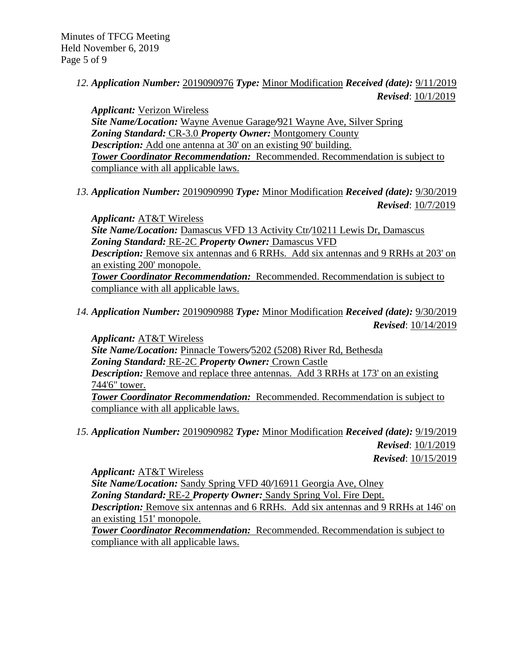*12. Application Number:* 2019090976 *Type:* Minor Modification *Received (date):* 9/11/2019 *Revised*: 10/1/2019

*Applicant:* Verizon Wireless *Site Name/Location:* Wayne Avenue Garage*/*921 Wayne Ave, Silver Spring *Zoning Standard:* CR-3.0 *Property Owner:* Montgomery County *Description:* Add one antenna at 30' on an existing 90' building. *Tower Coordinator Recommendation:* Recommended. Recommendation is subject to compliance with all applicable laws.

*13. Application Number:* 2019090990 *Type:* Minor Modification *Received (date):* 9/30/2019 *Revised*: 10/7/2019

*Applicant:* AT&T Wireless *Site Name/Location:* Damascus VFD 13 Activity Ctr*/*10211 Lewis Dr, Damascus *Zoning Standard:* RE-2C *Property Owner:* Damascus VFD *Description:* Remove six antennas and 6 RRHs. Add six antennas and 9 RRHs at 203' on an existing 200' monopole. *Tower Coordinator Recommendation:* Recommended. Recommendation is subject to compliance with all applicable laws.

*14. Application Number:* 2019090988 *Type:* Minor Modification *Received (date):* 9/30/2019 *Revised*: 10/14/2019

*Applicant:* AT&T Wireless *Site Name/Location:* Pinnacle Towers*/*5202 (5208) River Rd, Bethesda *Zoning Standard:* RE-2C *Property Owner:* Crown Castle *Description:* Remove and replace three antennas. Add 3 RRHs at 173' on an existing 744'6" tower. *Tower Coordinator Recommendation:* Recommended. Recommendation is subject to compliance with all applicable laws.

*15. Application Number:* 2019090982 *Type:* Minor Modification *Received (date):* 9/19/2019 *Revised*: 10/1/2019 *Revised*: 10/15/2019

*Applicant:* AT&T Wireless *Site Name/Location:* Sandy Spring VFD 40*/*16911 Georgia Ave, Olney *Zoning Standard:* RE-2 *Property Owner:* Sandy Spring Vol. Fire Dept. *Description:* Remove six antennas and 6 RRHs. Add six antennas and 9 RRHs at 146' on an existing 151' monopole.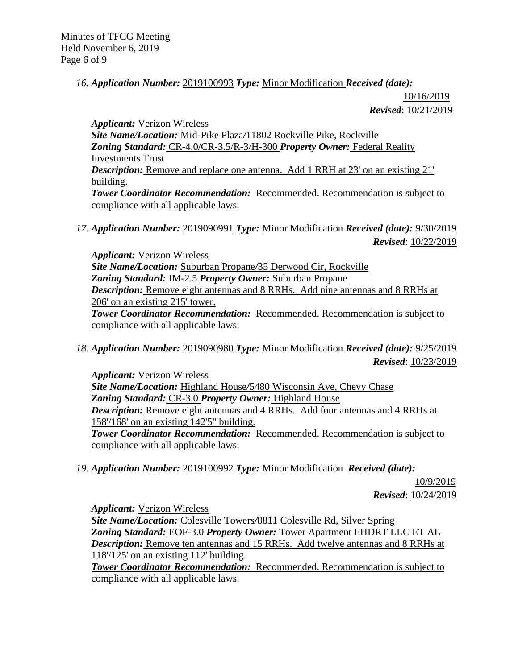Minutes of TFCG Meeting Held November 6, 2019 Page 6 of 9

### *16. Application Number:* 2019100993 *Type:* Minor Modification *Received (date):*

 10/16/2019 *Revised*: 10/21/2019

*Applicant:* Verizon Wireless *Site Name/Location:* Mid-Pike Plaza*/*11802 Rockville Pike, Rockville *Zoning Standard:* CR-4.0/CR-3.5/R-3/H-300 *Property Owner:* Federal Reality Investments Trust *Description:* Remove and replace one antenna. Add 1 RRH at 23' on an existing 21' building. *Tower Coordinator Recommendation:* Recommended. Recommendation is subject to compliance with all applicable laws.

*17. Application Number:* 2019090991 *Type:* Minor Modification *Received (date):* 9/30/2019 *Revised*: 10/22/2019

*Applicant:* Verizon Wireless *Site Name/Location:* Suburban Propane*/*35 Derwood Cir, Rockville *Zoning Standard:* IM-2.5 *Property Owner:* Suburban Propane *Description:* Remove eight antennas and 8 RRHs. Add nine antennas and 8 RRHs at 206' on an existing 215' tower. *Tower Coordinator Recommendation:* Recommended. Recommendation is subject to compliance with all applicable laws.

*18. Application Number:* 2019090980 *Type:* Minor Modification *Received (date):* 9/25/2019 *Revised*: 10/23/2019

*Applicant:* Verizon Wireless *Site Name/Location:* Highland House*/*5480 Wisconsin Ave, Chevy Chase *Zoning Standard:* CR-3.0 *Property Owner:* Highland House *Description:* Remove eight antennas and 4 RRHs. Add four antennas and 4 RRHs at 158'/168' on an existing 142'5" building. *Tower Coordinator Recommendation:* Recommended. Recommendation is subject to compliance with all applicable laws.

*19. Application Number:* 2019100992 *Type:* Minor Modification *Received (date):*

10/9/2019 *Revised*: 10/24/2019

*Applicant:* Verizon Wireless

*Site Name/Location:* Colesville Towers*/*8811 Colesville Rd, Silver Spring *Zoning Standard:* EOF-3.0 *Property Owner:* Tower Apartment EHDRT LLC ET AL *Description:* Remove ten antennas and 15 RRHs. Add twelve antennas and 8 RRHs at 118'/125' on an existing 112' building.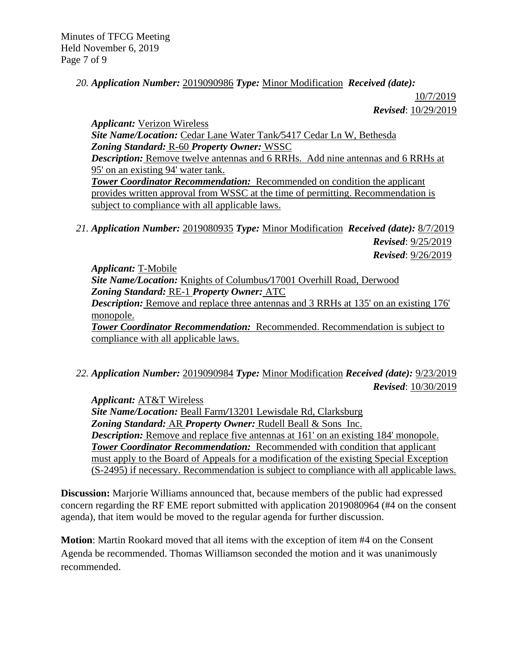Minutes of TFCG Meeting Held November 6, 2019 Page 7 of 9

### *20. Application Number:* 2019090986 *Type:* Minor Modification *Received (date):*

10/7/2019 *Revised*: 10/29/2019

*Applicant:* Verizon Wireless *Site Name/Location:* Cedar Lane Water Tank*/*5417 Cedar Ln W, Bethesda *Zoning Standard:* R-60 *Property Owner:* WSSC *Description:* Remove twelve antennas and 6 RRHs. Add nine antennas and 6 RRHs at 95' on an existing 94' water tank. **Tower Coordinator Recommendation:** Recommended on condition the applicant provides written approval from WSSC at the time of permitting. Recommendation is subject to compliance with all applicable laws.

*21. Application Number:* 2019080935 *Type:* Minor Modification *Received (date):* 8/7/2019 *Revised*: 9/25/2019 *Revised*: 9/26/2019

*Applicant:* T-Mobile *Site Name/Location:* Knights of Columbus*/*17001 Overhill Road, Derwood *Zoning Standard:* RE-1 *Property Owner:* ATC *Description:* Remove and replace three antennas and 3 RRHs at 135' on an existing 176' monopole. *Tower Coordinator Recommendation:* Recommended. Recommendation is subject to compliance with all applicable laws.

*22. Application Number:* 2019090984 *Type:* Minor Modification *Received (date):* 9/23/2019 *Revised*: 10/30/2019

*Applicant:* AT&T Wireless *Site Name/Location:* Beall Farm*/*13201 Lewisdale Rd, Clarksburg *Zoning Standard:* AR *Property Owner:* Rudell Beall & Sons Inc. *Description:* Remove and replace five antennas at 161' on an existing 184' monopole. *Tower Coordinator Recommendation:* Recommended with condition that applicant must apply to the Board of Appeals for a modification of the existing Special Exception (S-2495) if necessary. Recommendation is subject to compliance with all applicable laws.

**Discussion:** Marjorie Williams announced that, because members of the public had expressed concern regarding the RF EME report submitted with application 2019080964 (#4 on the consent agenda), that item would be moved to the regular agenda for further discussion.

**Motion**: Martin Rookard moved that all items with the exception of item #4 on the Consent Agenda be recommended. Thomas Williamson seconded the motion and it was unanimously recommended.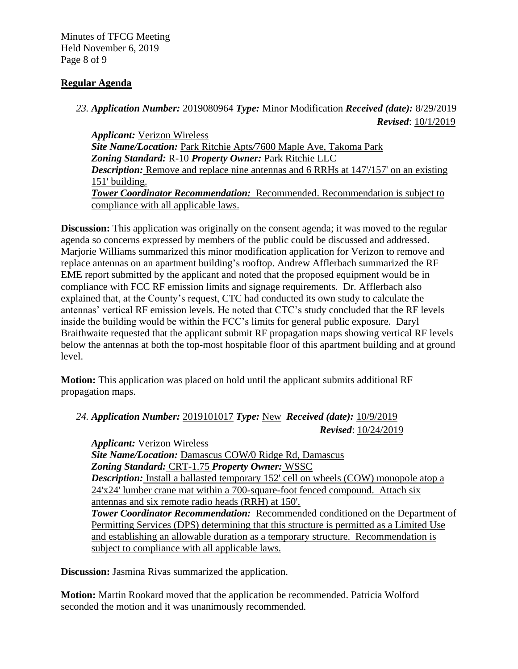Minutes of TFCG Meeting Held November 6, 2019 Page 8 of 9

## **Regular Agenda**

## *23. Application Number:* 2019080964 *Type:* Minor Modification *Received (date):* 8/29/2019 *Revised*: 10/1/2019

*Applicant:* Verizon Wireless *Site Name/Location:* Park Ritchie Apts*/*7600 Maple Ave, Takoma Park *Zoning Standard:* R-10 *Property Owner:* Park Ritchie LLC *Description:* Remove and replace nine antennas and 6 RRHs at 147/157' on an existing 151' building. *Tower Coordinator Recommendation:* Recommended. Recommendation is subject to compliance with all applicable laws.

**Discussion:** This application was originally on the consent agenda; it was moved to the regular agenda so concerns expressed by members of the public could be discussed and addressed. Marjorie Williams summarized this minor modification application for Verizon to remove and replace antennas on an apartment building's rooftop. Andrew Afflerbach summarized the RF EME report submitted by the applicant and noted that the proposed equipment would be in compliance with FCC RF emission limits and signage requirements. Dr. Afflerbach also explained that, at the County's request, CTC had conducted its own study to calculate the antennas' vertical RF emission levels. He noted that CTC's study concluded that the RF levels inside the building would be within the FCC's limits for general public exposure. Daryl Braithwaite requested that the applicant submit RF propagation maps showing vertical RF levels below the antennas at both the top-most hospitable floor of this apartment building and at ground level.

**Motion:** This application was placed on hold until the applicant submits additional RF propagation maps.

# *24. Application Number:* 2019101017 *Type:* New *Received (date):* 10/9/2019 *Revised*: 10/24/2019

*Applicant:* Verizon Wireless *Site Name/Location:* Damascus COW*/*0 Ridge Rd, Damascus *Zoning Standard:* CRT-1.75 *Property Owner:* WSSC *Description:* Install a ballasted temporary 152' cell on wheels (COW) monopole atop a 24'x24' lumber crane mat within a 700-square-foot fenced compound. Attach six antennas and six remote radio heads (RRH) at 150'. *Tower Coordinator Recommendation:* Recommended conditioned on the Department of Permitting Services (DPS) determining that this structure is permitted as a Limited Use and establishing an allowable duration as a temporary structure. Recommendation is subject to compliance with all applicable laws.

**Discussion:** Jasmina Rivas summarized the application.

**Motion:** Martin Rookard moved that the application be recommended. Patricia Wolford seconded the motion and it was unanimously recommended.